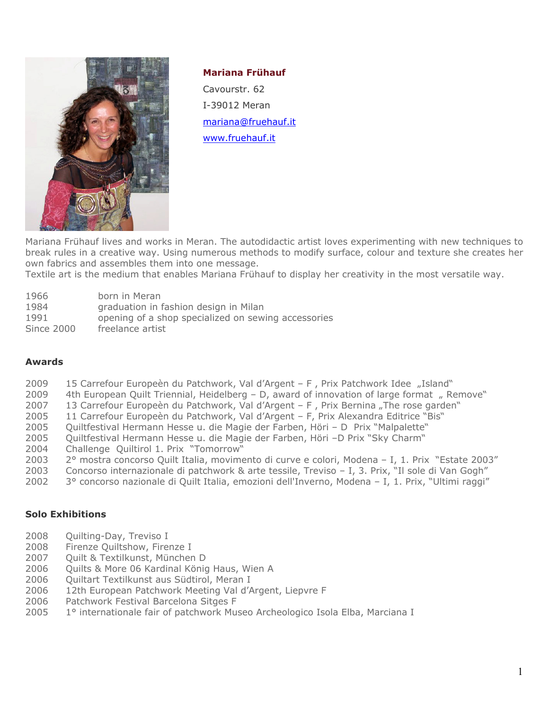

### **Mariana Frühauf**

Cavourstr. 62 I-39012 Meran [mariana@fruehauf.it](mailto:mariana@fruehauf.it) [www.fruehauf.it](http://www.fruehauf.it/)

Mariana Frühauf lives and works in Meran. The autodidactic artist loves experimenting with new techniques to break rules in a creative way. Using numerous methods to modify surface, colour and texture she creates her own fabrics and assembles them into one message.

Textile art is the medium that enables Mariana Frühauf to display her creativity in the most versatile way.

| 1966 |  | born in Meran |
|------|--|---------------|
|      |  |               |

- 1984 graduation in fashion design in Milan
- 1991 opening of a shop specialized on sewing accessories
- Since 2000 freelance artist

# **Awards**

- 2009 15 Carrefour Europeèn du Patchwork, Val d'Argent F, Prix Patchwork Idee "Island"
- 2009 4th European Quilt Triennial, Heidelberg  $-$  D, award of innovation of large format  $\mu$  Remove"
- 2007 13 Carrefour Europeèn du Patchwork, Val d'Argent F, Prix Bernina "The rose garden"
- 2005 11 Carrefour Europeèn du Patchwork, Val d'Argent F, Prix Alexandra Editrice "Bis"
- 2005 Quiltfestival Hermann Hesse u. die Magie der Farben, Höri D Prix "Malpalette"
- 2005 Quiltfestival Hermann Hesse u. die Magie der Farben, Höri –D Prix "Sky Charm"
- 2004 Challenge Quiltirol 1. Prix "Tomorrow"
- 2003 2° mostra concorso Quilt Italia, movimento di curve e colori, Modena I, 1. Prix "Estate 2003"
- 2003 Concorso internazionale di patchwork & arte tessile, Treviso I, 3. Prix, "Il sole di Van Gogh"
- 2002 3° concorso nazionale di Quilt Italia, emozioni dell'Inverno, Modena I, 1. Prix, "Ultimi raggi"

# **Solo Exhibitions**

- 2008 Quilting-Day, Treviso I
- 2008 Firenze Quiltshow, Firenze I
- 2007 Quilt & Textilkunst, München D
- 2006 Quilts & More 06 Kardinal König Haus, Wien A
- 2006 Quiltart Textilkunst aus Südtirol, Meran I
- 2006 12th European Patchwork Meeting Val d'Argent, Liepvre F
- 2006 Patchwork Festival Barcelona Sitges F
- 2005 1° internationale fair of patchwork Museo Archeologico Isola Elba, Marciana I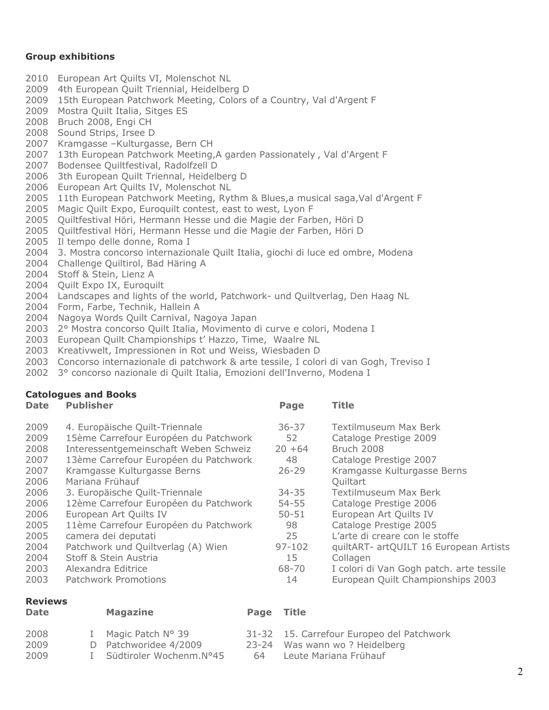# **Group exhibitions**

- 2010 European Art Quilts VI, Molenschot NL
- 2009 4th European Quilt Triennial, Heidelberg D
- 2009 15th European Patchwork Meeting, Colors of a Country, Val d'Argent F
- 2009 Mostra Quilt Italia, Sitges ES
- 2008 Bruch 2008, Engi CH
- 2008 Sound Strips, Irsee D
- 2007 Kramgasse –Kulturgasse, Bern CH
- 2007 13th European Patchwork Meeting,A garden Passionately , Val d'Argent F
- 2007 Bodensee Quiltfestival, Radolfzell D
- 2006 3th European Quilt Triennal, Heidelberg D
- 2006 European Art Quilts IV, Molenschot NL
- 2005 11th European Patchwork Meeting, Rythm & Blues, a musical saga, Val d'Argent F
- 2005 Magic Quilt Expo, Euroquilt contest, east to west, Lyon F
- 2005 Quiltfestival Höri, Hermann Hesse und die Magie der Farben, Höri D
- 2005 Quiltfestival Höri, Hermann Hesse und die Magie der Farben, Höri D
- 2005 Il tempo delle donne, Roma I
- 2004 3. Mostra concorso internazionale Quilt Italia, giochi di luce ed ombre, Modena
- 2004 Challenge Quiltirol, Bad Häring A
- 2004 Stoff & Stein, Lienz A
- 2004 Ouilt Expo IX, Euroquilt
- 2004 Landscapes and lights of the world, Patchwork- und Quiltverlag, Den Haag NL
- 2004 Form, Farbe, Technik, Hallein A
- 2004 Nagoya Words Quilt Carnival, Nagoya Japan
- 2003 2° Mostra concorso Quilt Italia, Movimento di curve e colori, Modena I
- 2003 European Quilt Championships t' Hazzo, Time, Waalre NL
- 2003 Kreativwelt, Impressionen in Rot und Weiss, Wiesbaden D
- 2003 Concorso internazionale di patchwork & arte tessile, I colori di van Gogh, Treviso I
- 2002 3° concorso nazionale di Quilt Italia, Emozioni dell'Inverno, Modena I

# **Catologues and Books**

| <b>Date</b> | <b>Publisher</b>                      | Page       | <b>Title</b>                             |
|-------------|---------------------------------------|------------|------------------------------------------|
| 2009        | 4. Europäische Quilt-Triennale        | $36 - 37$  | Textilmuseum Max Berk                    |
| 2009        | 15ème Carrefour Européen du Patchwork | 52         | Cataloge Prestige 2009                   |
| 2008        | Interessentgemeinschaft Weben Schweiz | $20 + 64$  | Bruch 2008                               |
| 2007        | 13ème Carrefour Européen du Patchwork | 48         | Cataloge Prestige 2007                   |
| 2007        | Kramgasse Kulturgasse Berns           | $26 - 29$  | Kramgasse Kulturgasse Berns              |
| 2006        | Mariana Frühauf                       |            | Quiltart                                 |
| 2006        | 3. Europäische Quilt-Triennale        | $34 - 35$  | Textilmuseum Max Berk                    |
| 2006        | 12ème Carrefour Européen du Patchwork | $54 - 55$  | Cataloge Prestige 2006                   |
| 2006        | European Art Quilts IV                | $50 - 51$  | European Art Quilts IV                   |
| 2005        | 11ème Carrefour Européen du Patchwork | 98         | Cataloge Prestige 2005                   |
| 2005        | camera dei deputati                   | 25         | L'arte di creare con le stoffe           |
| 2004        | Patchwork und Quiltverlag (A) Wien    | $97 - 102$ | quiltART- artQUILT 16 European Artists   |
| 2004        | Stoff & Stein Austria                 | 15         | Collagen                                 |
| 2003        | Alexandra Editrice                    | 68-70      | I colori di Van Gogh patch. arte tessile |
| 2003        | Patchwork Promotions                  | 14         | European Quilt Championships 2003        |

### **Reviews**

| <b>Date</b> | <b>Magazine</b>           | Page Title |                                           |
|-------------|---------------------------|------------|-------------------------------------------|
| 2008        | Magic Patch N° 39         |            | 31-32 15. Carrefour Europeo del Patchwork |
| 2009        | D Patchworidee 4/2009     |            | 23-24 Was wann wo? Heidelberg             |
| 2009        | I Südtiroler Wochenm.N°45 | 64.        | Leute Mariana Frühauf                     |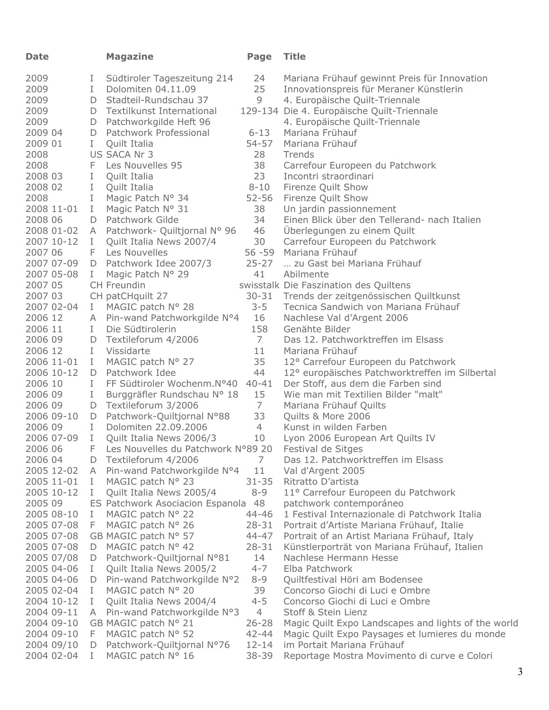| <b>Date</b>           |              | <b>Magazine</b>                               | Page                 | <b>Title</b>                                                   |
|-----------------------|--------------|-----------------------------------------------|----------------------|----------------------------------------------------------------|
| 2009                  | L            | Südtiroler Tageszeitung 214                   | 24                   | Mariana Frühauf gewinnt Preis für Innovation                   |
| 2009                  | $\bf{I}$     | Dolomiten 04.11.09                            | 25                   | Innovationspreis für Meraner Künstlerin                        |
| 2009                  |              | D Stadteil-Rundschau 37                       | 9                    | 4. Europäische Quilt-Triennale                                 |
| 2009                  |              | D Textilkunst International                   |                      | 129-134 Die 4. Europäische Quilt-Triennale                     |
| 2009                  |              | D Patchworkgilde Heft 96                      |                      | 4. Europäische Quilt-Triennale                                 |
| 2009 04               | D            | Patchwork Professional                        | $6 - 13$             | Mariana Frühauf                                                |
| 2009 01               | $\mathbf{I}$ | Quilt Italia                                  | 54-57                | Mariana Frühauf                                                |
| 2008                  |              | US SACA Nr 3                                  | 28                   | Trends                                                         |
| 2008                  |              | F Les Nouvelles 95                            | 38                   | Carrefour Europeen du Patchwork                                |
| 2008 03               | L            | Quilt Italia                                  | 23                   | Incontri straordinari                                          |
| 2008 02               | $\mathbf{I}$ | Quilt Italia                                  | $8 - 10$             | Firenze Quilt Show                                             |
| 2008                  | $\mathbf{I}$ | Magic Patch N° 34                             | $52 - 56$            | Firenze Quilt Show                                             |
| 2008 11-01            | L            | Magic Patch N° 31                             | 38                   | Un jardin passionnement                                        |
| 2008 06               | D            | Patchwork Gilde                               | 34                   | Einen Blick über den Tellerand- nach Italien                   |
| 2008 01-02            |              | A Patchwork- Quiltjornal N° 96                | 46                   | Uberlegungen zu einem Quilt                                    |
| 2007 10-12            | L            | Quilt Italia News 2007/4                      | 30                   | Carrefour Europeen du Patchwork                                |
| 2007 06               | F            | Les Nouvelles                                 | $56 - 59$            | Mariana Frühauf                                                |
| 2007 07-09            |              | D Patchwork Idee 2007/3                       | $25 - 27$            | zu Gast bei Mariana Frühauf                                    |
| 2007 05-08            | L            | Magic Patch Nº 29                             | 41                   | Abilmente                                                      |
| 2007 05               |              | CH Freundin                                   |                      | swisstalk Die Faszination des Quiltens                         |
| 2007 03               |              | CH patCHquilt 27                              | $30 - 31$            | Trends der zeitgenössischen Quiltkunst                         |
| 2007 02-04            | L            | MAGIC patch N° 28                             | $3 - 5$              | Tecnica Sandwich von Mariana Frühauf                           |
| 2006 12               |              | A Pin-wand Patchworkgilde N°4                 | 16                   | Nachlese Val d'Argent 2006                                     |
| 2006 11               | L            | Die Südtirolerin                              | 158                  | Genähte Bilder                                                 |
| 2006 09               | D            | Textileforum 4/2006                           | $7^{\circ}$          | Das 12. Patchworktreffen im Elsass                             |
| 2006 12               | $\mathbf{I}$ | Vissidarte                                    | 11                   | Mariana Frühauf                                                |
| 2006 11-01            | $\mathbf{I}$ | MAGIC patch N° 27                             | 35                   | 12° Carrefour Europeen du Patchwork                            |
| 2006 10-12            |              | D Patchwork Idee                              | 44                   | 12° europäisches Patchworktreffen im Silbertal                 |
| 2006 10               | L            | FF Südtiroler Wochenm.N°40                    | $40 - 41$            | Der Stoff, aus dem die Farben sind                             |
| 2006 09               | L            | Burggräfler Rundschau N° 18                   | 15                   | Wie man mit Textilien Bilder "malt"                            |
| 2006 09               | D            | Textileforum 3/2006                           | $\overline{7}$       | Mariana Frühauf Quilts                                         |
| 2006 09-10            |              | D Patchwork-Quiltjornal N°88                  | 33                   | Quilts & More 2006                                             |
| 2006 09               | L            | Dolomiten 22.09.2006                          | $\overline{4}$       | Kunst in wilden Farben                                         |
| 2006 07-09            | $\mathbf{I}$ | Quilt Italia News 2006/3                      | 10                   | Lyon 2006 European Art Quilts IV                               |
| 2006 06               | F            | Les Nouvelles du Patchwork N°89 20            |                      | Festival de Sitges                                             |
| 2006 04               | D            | Textileforum 4/2006                           | 7                    | Das 12. Patchworktreffen im Elsass                             |
| 2005 12-02            | A            | Pin-wand Patchworkgilde N°4                   | 11                   | Val d'Argent 2005<br>Ritratto D'artista                        |
| 2005 11-01            | Ι<br>L       | MAGIC patch N° 23<br>Quilt Italia News 2005/4 | $31 - 35$<br>$8 - 9$ |                                                                |
| 2005 10-12<br>2005 09 |              | ES Patchwork Asociacion Espanola              | 48                   | 11° Carrefour Europeen du Patchwork<br>patchwork contemporáneo |
| 2005 08-10            |              |                                               | 44-46                | 1 Festival Internazionale di Patchwork Italia                  |
| 2005 07-08            | Ι<br>F       | MAGIC patch N° 22<br>MAGIC patch N° 26        | $28 - 31$            | Portrait d'Artiste Mariana Frühauf, Italie                     |
| 2005 07-08            |              | GB MAGIC patch N° 57                          | $44 - 47$            | Portrait of an Artist Mariana Frühauf, Italy                   |
| 2005 07-08            | D            | MAGIC patch Nº 42                             | $28 - 31$            | Künstlerporträt von Mariana Frühauf, Italien                   |
| 2005 07/08            | D            | Patchwork-Quiltjornal N°81                    | 14                   | Nachlese Hermann Hesse                                         |
| 2005 04-06            | I.           | Quilt Italia News 2005/2                      | $4 - 7$              | Elba Patchwork                                                 |
| 2005 04-06            | D            | Pin-wand Patchworkgilde N°2                   | $8 - 9$              | Quiltfestival Höri am Bodensee                                 |
| 2005 02-04            | Ι.           | MAGIC patch N° 20                             | 39                   | Concorso Giochi di Luci e Ombre                                |
| 2004 10-12            | L            | Quilt Italia News 2004/4                      | $4 - 5$              | Concorso Giochi di Luci e Ombre                                |
| 2004 09-11            | A            | Pin-wand Patchworkgilde N°3                   | $\overline{4}$       | Stoff & Stein Lienz                                            |
| 2004 09-10            |              | GB MAGIC patch N° 21                          | $26 - 28$            | Magic Quilt Expo Landscapes and lights of the world            |
| 2004 09-10            | F            | MAGIC patch N° 52                             | $42 - 44$            | Magic Quilt Expo Paysages et lumieres du monde                 |
| 2004 09/10            | D            | Patchwork-Quiltjornal N°76                    | $12 - 14$            | im Portait Mariana Frühauf                                     |
| 2004 02-04            | L            | MAGIC patch N° 16                             | 38-39                | Reportage Mostra Movimento di curve e Colori                   |